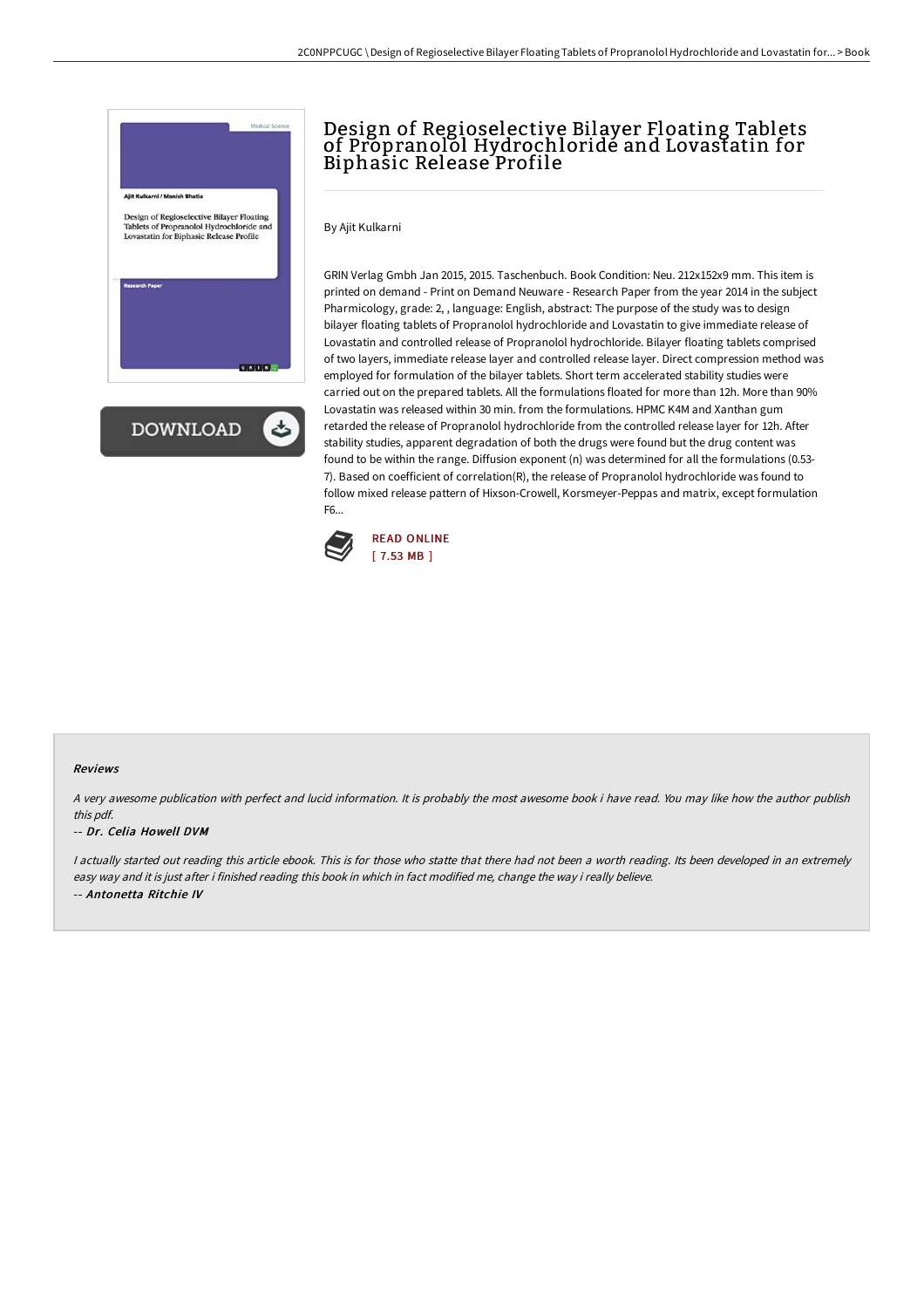

**DOWNLOAD** ٹ

## Design of Regioselective Bilayer Floating Tablets of Propranolol Hydrochloridé and Lovastatin for Biphasic Release Profile

By Ajit Kulkarni

GRIN Verlag Gmbh Jan 2015, 2015. Taschenbuch. Book Condition: Neu. 212x152x9 mm. This item is printed on demand - Print on Demand Neuware - Research Paper from the year 2014 in the subject Pharmicology, grade: 2, , language: English, abstract: The purpose of the study was to design bilayer floating tablets of Propranolol hydrochloride and Lovastatin to give immediate release of Lovastatin and controlled release of Propranolol hydrochloride. Bilayer floating tablets comprised of two layers, immediate release layer and controlled release layer. Direct compression method was employed for formulation of the bilayer tablets. Short term accelerated stability studies were carried out on the prepared tablets. All the formulations floated for more than 12h. More than 90% Lovastatin was released within 30 min. from the formulations. HPMC K4M and Xanthan gum retarded the release of Propranolol hydrochloride from the controlled release layer for 12h. After stability studies, apparent degradation of both the drugs were found but the drug content was found to be within the range. Diffusion exponent (n) was determined for all the formulations (0.53- 7). Based on coefficient of correlation(R), the release of Propranolol hydrochloride was found to follow mixed release pattern of Hixson-Crowell, Korsmeyer-Peppas and matrix, except formulation F6...



### Reviews

A very awesome publication with perfect and lucid information. It is probably the most awesome book i have read. You may like how the author publish this pdf.

#### -- Dr. Celia Howell DVM

<sup>I</sup> actually started out reading this article ebook. This is for those who statte that there had not been <sup>a</sup> worth reading. Its been developed in an extremely easy way and it is just after i finished reading this book in which in fact modified me, change the way i really believe. -- Antonetta Ritchie IV